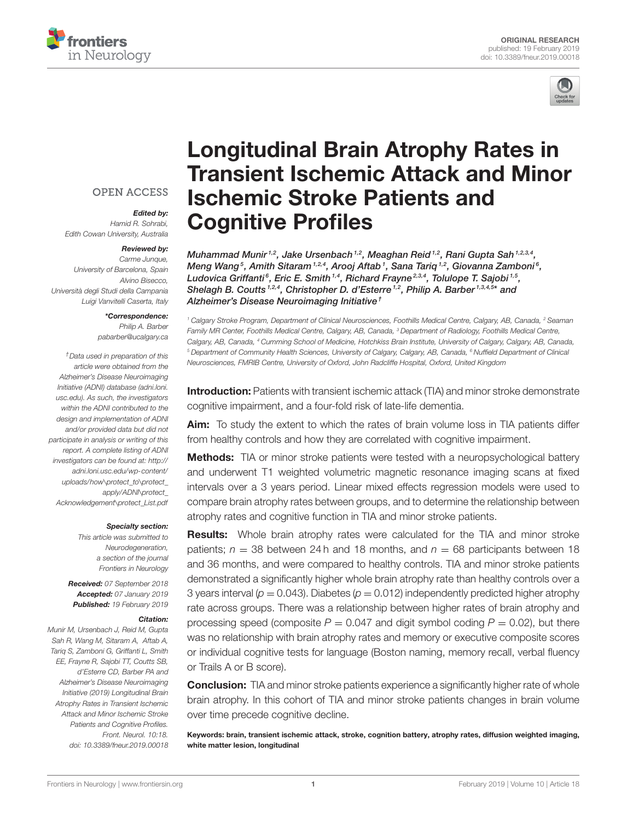



# Longitudinal Brain Atrophy Rates in [Transient Ischemic Attack and Minor](https://www.frontiersin.org/articles/10.3389/fneur.2019.00018/full) Ischemic Stroke Patients and Cognitive Profiles

Muhammad Munir<sup>1,2</sup>, Jake Ursenbach<sup>1,2</sup>, Meaghan Reid<sup>1,2</sup>, [Rani Gupta Sah](http://loop.frontiersin.org/people/312057/overview)<sup>1,2,3,4</sup>, Meng Wang<sup>5</sup>, [Amith Sitaram](http://loop.frontiersin.org/people/611740/overview) 1,2,4, Arooj Aftab 1, Sana Tariq 1,2, [Giovanna Zamboni](http://loop.frontiersin.org/people/417843/overview)6, [Ludovica Griffanti](http://loop.frontiersin.org/people/123003/overview)<sup>6</sup>, [Eric E. Smith](http://loop.frontiersin.org/people/25872/overview)<sup>1,4</sup>, [Richard Frayne](http://loop.frontiersin.org/people/441199/overview)<sup>2,3,4</sup>, Tolulope T. Sajobi<sup>1,5</sup>, Shelagh B. Coutts<sup>1,2,4</sup>, Christopher D. d'Esterre<sup>1,2</sup>, [Philip A. Barber](http://loop.frontiersin.org/people/160422/overview)<sup>1,3,4,5\*</sup> and Alzheimer's Disease Neuroimaging Initiative†

<sup>1</sup> Calgary Stroke Program, Department of Clinical Neurosciences, Foothills Medical Centre, Calgary, AB, Canada, <sup>2</sup> Seaman Family MR Center, Foothills Medical Centre, Calgary, AB, Canada, <sup>3</sup> Department of Radiology, Foothills Medical Centre, Calgary, AB, Canada, <sup>4</sup> Cumming School of Medicine, Hotchkiss Brain Institute, University of Calgary, Calgary, AB, Canada, <sup>5</sup> Department of Community Health Sciences, University of Calgary, Calgary, AB, Canada, <sup>6</sup> Nuffield Department of Clinical Neurosciences, FMRIB Centre, University of Oxford, John Radcliffe Hospital, Oxford, United Kingdom

**Introduction:** Patients with transient ischemic attack (TIA) and minor stroke demonstrate cognitive impairment, and a four-fold risk of late-life dementia.

Aim: To study the extent to which the rates of brain volume loss in TIA patients differ from healthy controls and how they are correlated with cognitive impairment.

**Methods:** TIA or minor stroke patients were tested with a neuropsychological battery and underwent T1 weighted volumetric magnetic resonance imaging scans at fixed intervals over a 3 years period. Linear mixed effects regression models were used to compare brain atrophy rates between groups, and to determine the relationship between atrophy rates and cognitive function in TIA and minor stroke patients.

**Results:** Whole brain atrophy rates were calculated for the TIA and minor stroke patients;  $n = 38$  between 24h and 18 months, and  $n = 68$  participants between 18 and 36 months, and were compared to healthy controls. TIA and minor stroke patients demonstrated a significantly higher whole brain atrophy rate than healthy controls over a 3 years interval ( $p = 0.043$ ). Diabetes ( $p = 0.012$ ) independently predicted higher atrophy rate across groups. There was a relationship between higher rates of brain atrophy and processing speed (composite  $P = 0.047$  and digit symbol coding  $P = 0.02$ ), but there was no relationship with brain atrophy rates and memory or executive composite scores or individual cognitive tests for language (Boston naming, memory recall, verbal fluency or Trails A or B score).

**Conclusion:** TIA and minor stroke patients experience a significantly higher rate of whole brain atrophy. In this cohort of TIA and minor stroke patients changes in brain volume over time precede cognitive decline.

Keywords: brain, transient ischemic attack, stroke, cognition battery, atrophy rates, diffusion weighted imaging, white matter lesion, longitudinal

#### **OPEN ACCESS**

Edited by:

Hamid R. Sohrabi, Edith Cowan University, Australia

#### Reviewed by:

Carme Junque, University of Barcelona, Spain Alvino Bisecco, Università degli Studi della Campania Luigi Vanvitelli Caserta, Italy

#### \*Correspondence:

Philip A. Barber [pabarber@ucalgary.ca](mailto:pabarber@ucalgary.ca)

†Data used in preparation of this article were obtained from the Alzheimer's Disease Neuroimaging Initiative (ADNI) database [\(adni.loni.](adni.loni.usc.edu) [usc.edu\)](adni.loni.usc.edu). As such, the investigators within the ADNI contributed to the design and implementation of ADNI and/or provided data but did not participate in analysis or writing of this report. A complete listing of ADNI investigators can be found at: [http://](http://adni.loni.usc.edu/wp-content/uploads/howprotect _toprotect _apply/ADNIprotect _Acknowledgementprotect _List.pdf) [adni.loni.usc.edu/wp-content/](http://adni.loni.usc.edu/wp-content/uploads/howprotect _toprotect _apply/ADNIprotect _Acknowledgementprotect _List.pdf) [uploads/how\protect\\_to\protect\\_](http://adni.loni.usc.edu/wp-content/uploads/howprotect _toprotect _apply/ADNIprotect _Acknowledgementprotect _List.pdf) [apply/ADNI\protect\\_](http://adni.loni.usc.edu/wp-content/uploads/howprotect _toprotect _apply/ADNIprotect _Acknowledgementprotect _List.pdf) [Acknowledgement\protect\\_List.pdf](http://adni.loni.usc.edu/wp-content/uploads/howprotect _toprotect _apply/ADNIprotect _Acknowledgementprotect _List.pdf)

#### Specialty section:

This article was submitted to Neurodegeneration, a section of the journal Frontiers in Neurology

Received: 07 September 2018 Accepted: 07 January 2019 Published: 19 February 2019

#### Citation:

Munir M, Ursenbach J, Reid M, Gupta Sah R, Wang M, Sitaram A, Aftab A, Tariq S, Zamboni G, Griffanti L, Smith EE, Frayne R, Sajobi TT, Coutts SB, d'Esterre CD, Barber PA and Alzheimer's Disease Neuroimaging Initiative (2019) Longitudinal Brain Atrophy Rates in Transient Ischemic Attack and Minor Ischemic Stroke Patients and Cognitive Profiles. Front. Neurol. 10:18. doi: [10.3389/fneur.2019.00018](https://doi.org/10.3389/fneur.2019.00018)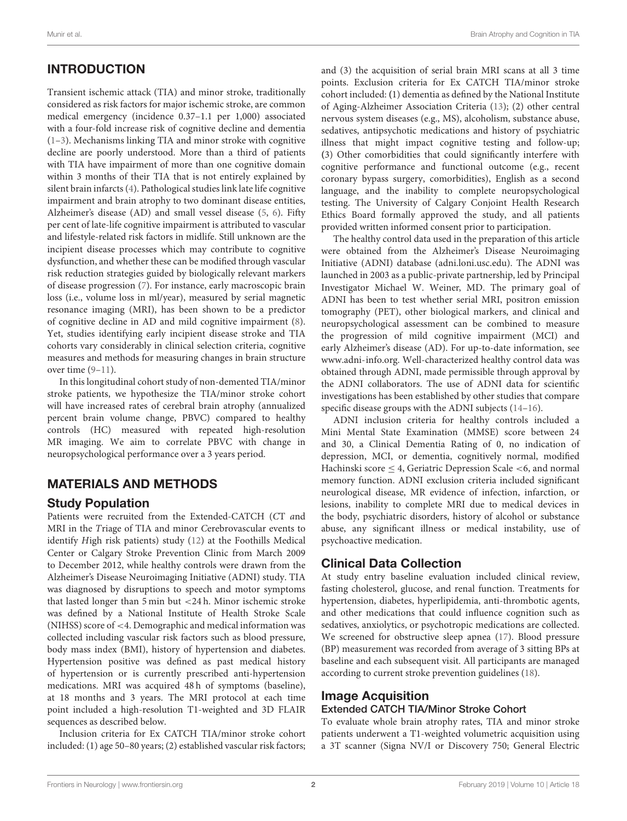# INTRODUCTION

Transient ischemic attack (TIA) and minor stroke, traditionally considered as risk factors for major ischemic stroke, are common medical emergency (incidence 0.37–1.1 per 1,000) associated with a four-fold increase risk of cognitive decline and dementia [\(1–](#page-7-0)[3\)](#page-7-1). Mechanisms linking TIA and minor stroke with cognitive decline are poorly understood. More than a third of patients with TIA have impairment of more than one cognitive domain within 3 months of their TIA that is not entirely explained by silent brain infarcts [\(4\)](#page-7-2). Pathological studies link late life cognitive impairment and brain atrophy to two dominant disease entities, Alzheimer's disease (AD) and small vessel disease [\(5,](#page-7-3) [6\)](#page-7-4). Fifty per cent of late-life cognitive impairment is attributed to vascular and lifestyle-related risk factors in midlife. Still unknown are the incipient disease processes which may contribute to cognitive dysfunction, and whether these can be modified through vascular risk reduction strategies guided by biologically relevant markers of disease progression [\(7\)](#page-7-5). For instance, early macroscopic brain loss (i.e., volume loss in ml/year), measured by serial magnetic resonance imaging (MRI), has been shown to be a predictor of cognitive decline in AD and mild cognitive impairment [\(8\)](#page-7-6). Yet, studies identifying early incipient disease stroke and TIA cohorts vary considerably in clinical selection criteria, cognitive measures and methods for measuring changes in brain structure over time [\(9–](#page-7-7)[11\)](#page-7-8).

In this longitudinal cohort study of non-demented TIA/minor stroke patients, we hypothesize the TIA/minor stroke cohort will have increased rates of cerebral brain atrophy (annualized percent brain volume change, PBVC) compared to healthy controls (HC) measured with repeated high-resolution MR imaging. We aim to correlate PBVC with change in neuropsychological performance over a 3 years period.

# MATERIALS AND METHODS

## Study Population

Patients were recruited from the Extended-CATCH (CT and MRI in the Triage of TIA and minor Cerebrovascular events to identify High risk patients) study [\(12\)](#page-7-9) at the Foothills Medical Center or Calgary Stroke Prevention Clinic from March 2009 to December 2012, while healthy controls were drawn from the Alzheimer's Disease Neuroimaging Initiative (ADNI) study. TIA was diagnosed by disruptions to speech and motor symptoms that lasted longer than 5 min but <24 h. Minor ischemic stroke was defined by a National Institute of Health Stroke Scale (NIHSS) score of <4. Demographic and medical information was collected including vascular risk factors such as blood pressure, body mass index (BMI), history of hypertension and diabetes. Hypertension positive was defined as past medical history of hypertension or is currently prescribed anti-hypertension medications. MRI was acquired 48 h of symptoms (baseline), at 18 months and 3 years. The MRI protocol at each time point included a high-resolution T1-weighted and 3D FLAIR sequences as described below.

Inclusion criteria for Ex CATCH TIA/minor stroke cohort included: (1) age 50–80 years; (2) established vascular risk factors; and (3) the acquisition of serial brain MRI scans at all 3 time points. Exclusion criteria for Ex CATCH TIA/minor stroke cohort included: **(**1) dementia as defined by the National Institute of Aging-Alzheimer Association Criteria [\(13\)](#page-7-10); (2) other central nervous system diseases (e.g., MS), alcoholism, substance abuse, sedatives, antipsychotic medications and history of psychiatric illness that might impact cognitive testing and follow-up; **(**3) Other comorbidities that could significantly interfere with cognitive performance and functional outcome (e.g., recent coronary bypass surgery, comorbidities), English as a second language, and the inability to complete neuropsychological testing. The University of Calgary Conjoint Health Research Ethics Board formally approved the study, and all patients provided written informed consent prior to participation.

The healthy control data used in the preparation of this article were obtained from the Alzheimer's Disease Neuroimaging Initiative (ADNI) database (adni.loni.usc.edu). The ADNI was launched in 2003 as a public-private partnership, led by Principal Investigator Michael W. Weiner, MD. The primary goal of ADNI has been to test whether serial MRI, positron emission tomography (PET), other biological markers, and clinical and neuropsychological assessment can be combined to measure the progression of mild cognitive impairment (MCI) and early Alzheimer's disease (AD). For up-to-date information, see [www.adni-info.org.](www.adni-info.org) Well-characterized healthy control data was obtained through ADNI, made permissible through approval by the ADNI collaborators. The use of ADNI data for scientific investigations has been established by other studies that compare specific disease groups with the ADNI subjects [\(14](#page-7-11)[–16\)](#page-7-12).

ADNI inclusion criteria for healthy controls included a Mini Mental State Examination (MMSE) score between 24 and 30, a Clinical Dementia Rating of 0, no indication of depression, MCI, or dementia, cognitively normal, modified Hachinski score  $\leq$  4, Geriatric Depression Scale  $\lt$  6, and normal memory function. ADNI exclusion criteria included significant neurological disease, MR evidence of infection, infarction, or lesions, inability to complete MRI due to medical devices in the body, psychiatric disorders, history of alcohol or substance abuse, any significant illness or medical instability, use of psychoactive medication.

# Clinical Data Collection

At study entry baseline evaluation included clinical review, fasting cholesterol, glucose, and renal function. Treatments for hypertension, diabetes, hyperlipidemia, anti-thrombotic agents, and other medications that could influence cognition such as sedatives, anxiolytics, or psychotropic medications are collected. We screened for obstructive sleep apnea [\(17\)](#page-7-13). Blood pressure (BP) measurement was recorded from average of 3 sitting BPs at baseline and each subsequent visit. All participants are managed according to current stroke prevention guidelines [\(18\)](#page-7-14).

## Image Acquisition

#### Extended CATCH TIA/Minor Stroke Cohort

To evaluate whole brain atrophy rates, TIA and minor stroke patients underwent a T1-weighted volumetric acquisition using a 3T scanner (Signa NV/I or Discovery 750; General Electric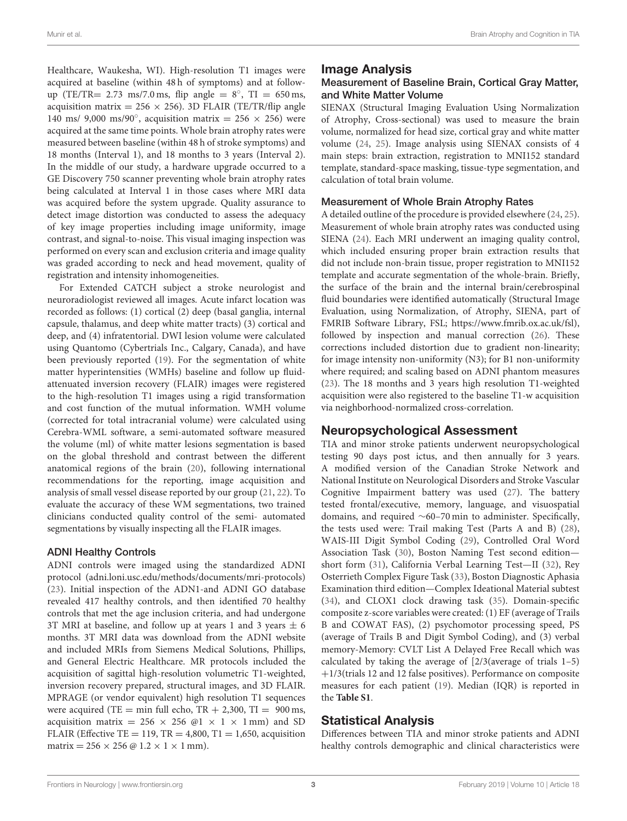Healthcare, Waukesha, WI). High-resolution T1 images were acquired at baseline (within 48 h of symptoms) and at followup (TE/TR= 2.73 ms/7.0 ms, flip angle =  $8^{\circ}$ , TI = 650 ms, acquisition matrix =  $256 \times 256$ ). 3D FLAIR (TE/TR/flip angle 140 ms/ 9,000 ms/90°, acquisition matrix = 256  $\times$  256) were acquired at the same time points. Whole brain atrophy rates were measured between baseline (within 48 h of stroke symptoms) and 18 months (Interval 1), and 18 months to 3 years (Interval 2). In the middle of our study, a hardware upgrade occurred to a GE Discovery 750 scanner preventing whole brain atrophy rates being calculated at Interval 1 in those cases where MRI data was acquired before the system upgrade. Quality assurance to detect image distortion was conducted to assess the adequacy of key image properties including image uniformity, image contrast, and signal-to-noise. This visual imaging inspection was performed on every scan and exclusion criteria and image quality was graded according to neck and head movement, quality of registration and intensity inhomogeneities.

For Extended CATCH subject a stroke neurologist and neuroradiologist reviewed all images. Acute infarct location was recorded as follows: (1) cortical (2) deep (basal ganglia, internal capsule, thalamus, and deep white matter tracts) (3) cortical and deep, and (4) infratentorial. DWI lesion volume were calculated using Quantomo (Cybertrials Inc., Calgary, Canada), and have been previously reported [\(19\)](#page-7-15). For the segmentation of white matter hyperintensities (WMHs) baseline and follow up fluidattenuated inversion recovery (FLAIR) images were registered to the high-resolution T1 images using a rigid transformation and cost function of the mutual information. WMH volume (corrected for total intracranial volume) were calculated using Cerebra-WML software, a semi-automated software measured the volume (ml) of white matter lesions segmentation is based on the global threshold and contrast between the different anatomical regions of the brain [\(20\)](#page-7-16), following international recommendations for the reporting, image acquisition and analysis of small vessel disease reported by our group [\(21,](#page-7-17) [22\)](#page-7-18). To evaluate the accuracy of these WM segmentations, two trained clinicians conducted quality control of the semi- automated segmentations by visually inspecting all the FLAIR images.

#### ADNI Healthy Controls

ADNI controls were imaged using the standardized ADNI protocol (adni.loni.usc.edu/methods/documents/mri-protocols) [\(23\)](#page-7-19). Initial inspection of the ADN1-and ADNI GO database revealed 417 healthy controls, and then identified 70 healthy controls that met the age inclusion criteria, and had undergone 3T MRI at baseline, and follow up at years 1 and 3 years  $\pm$  6 months. 3T MRI data was download from the ADNI website and included MRIs from Siemens Medical Solutions, Phillips, and General Electric Healthcare. MR protocols included the acquisition of sagittal high-resolution volumetric T1-weighted, inversion recovery prepared, structural images, and 3D FLAIR. MPRAGE (or vendor equivalent) high resolution T1 sequences were acquired (TE = min full echo, TR + 2,300, TI =  $900 \text{ ms}$ , acquisition matrix = 256  $\times$  256  $\omega$ 1  $\times$  1  $\times$  1 mm) and SD FLAIR (Effective TE = 119, TR = 4,800, T1 = 1,650, acquisition matrix =  $256 \times 256 \omega 1.2 \times 1 \times 1$  mm).

#### Image Analysis

#### Measurement of Baseline Brain, Cortical Gray Matter, and White Matter Volume

SIENAX (Structural Imaging Evaluation Using Normalization of Atrophy, Cross-sectional) was used to measure the brain volume, normalized for head size, cortical gray and white matter volume [\(24,](#page-7-20) [25\)](#page-8-0). Image analysis using SIENAX consists of 4 main steps: brain extraction, registration to MNI152 standard template, standard-space masking, tissue-type segmentation, and calculation of total brain volume.

#### Measurement of Whole Brain Atrophy Rates

A detailed outline of the procedure is provided elsewhere [\(24,](#page-7-20) [25\)](#page-8-0). Measurement of whole brain atrophy rates was conducted using SIENA [\(24\)](#page-7-20). Each MRI underwent an imaging quality control, which included ensuring proper brain extraction results that did not include non-brain tissue, proper registration to MNI152 template and accurate segmentation of the whole-brain. Briefly, the surface of the brain and the internal brain/cerebrospinal fluid boundaries were identified automatically (Structural Image Evaluation, using Normalization, of Atrophy, SIENA, part of FMRIB Software Library, FSL; [https://www.fmrib.ox.ac.uk/fsl\)](https://www.fmrib.ox.ac.uk/fsl), followed by inspection and manual correction [\(26\)](#page-8-1). These corrections included distortion due to gradient non-linearity; for image intensity non-uniformity (N3); for B1 non-uniformity where required; and scaling based on ADNI phantom measures [\(23\)](#page-7-19). The 18 months and 3 years high resolution T1-weighted acquisition were also registered to the baseline T1-w acquisition via neighborhood-normalized cross-correlation.

#### Neuropsychological Assessment

TIA and minor stroke patients underwent neuropsychological testing 90 days post ictus, and then annually for 3 years. A modified version of the Canadian Stroke Network and National Institute on Neurological Disorders and Stroke Vascular Cognitive Impairment battery was used [\(27\)](#page-8-2). The battery tested frontal/executive, memory, language, and visuospatial domains, and required ∼60–70 min to administer. Specifically, the tests used were: Trail making Test (Parts A and B) [\(28\)](#page-8-3), WAIS-III Digit Symbol Coding [\(29\)](#page-8-4), Controlled Oral Word Association Task [\(30\)](#page-8-5), Boston Naming Test second edition short form [\(31\)](#page-8-6), California Verbal Learning Test—II [\(32\)](#page-8-7), Rey Osterrieth Complex Figure Task [\(33\)](#page-8-8), Boston Diagnostic Aphasia Examination third edition—Complex Ideational Material subtest [\(34\)](#page-8-9), and CLOX1 clock drawing task [\(35\)](#page-8-10). Domain-specific composite z-score variables were created: (1) EF (average of Trails B and COWAT FAS), (2) psychomotor processing speed, PS (average of Trails B and Digit Symbol Coding), and (3) verbal memory-Memory: CVLT List A Delayed Free Recall which was calculated by taking the average of [2/3(average of trials 1–5) +1/3(trials 12 and 12 false positives). Performance on composite measures for each patient [\(19\)](#page-7-15). Median (IQR) is reported in the **[Table S1](#page-7-21)**.

#### Statistical Analysis

Differences between TIA and minor stroke patients and ADNI healthy controls demographic and clinical characteristics were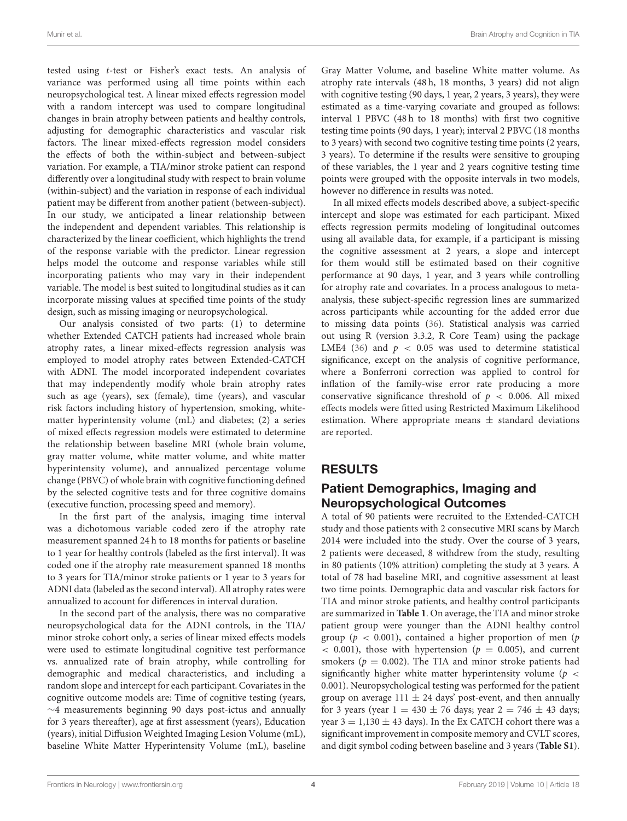tested using t-test or Fisher's exact tests. An analysis of variance was performed using all time points within each neuropsychological test. A linear mixed effects regression model with a random intercept was used to compare longitudinal changes in brain atrophy between patients and healthy controls, adjusting for demographic characteristics and vascular risk factors. The linear mixed-effects regression model considers the effects of both the within-subject and between-subject variation. For example, a TIA/minor stroke patient can respond differently over a longitudinal study with respect to brain volume (within-subject) and the variation in response of each individual patient may be different from another patient (between-subject). In our study, we anticipated a linear relationship between the independent and dependent variables. This relationship is characterized by the linear coefficient, which highlights the trend of the response variable with the predictor. Linear regression helps model the outcome and response variables while still incorporating patients who may vary in their independent variable. The model is best suited to longitudinal studies as it can incorporate missing values at specified time points of the study design, such as missing imaging or neuropsychological.

Our analysis consisted of two parts: (1) to determine whether Extended CATCH patients had increased whole brain atrophy rates, a linear mixed-effects regression analysis was employed to model atrophy rates between Extended-CATCH with ADNI. The model incorporated independent covariates that may independently modify whole brain atrophy rates such as age (years), sex (female), time (years), and vascular risk factors including history of hypertension, smoking, whitematter hyperintensity volume (mL) and diabetes; (2) a series of mixed effects regression models were estimated to determine the relationship between baseline MRI (whole brain volume, gray matter volume, white matter volume, and white matter hyperintensity volume), and annualized percentage volume change (PBVC) of whole brain with cognitive functioning defined by the selected cognitive tests and for three cognitive domains (executive function, processing speed and memory).

In the first part of the analysis, imaging time interval was a dichotomous variable coded zero if the atrophy rate measurement spanned 24 h to 18 months for patients or baseline to 1 year for healthy controls (labeled as the first interval). It was coded one if the atrophy rate measurement spanned 18 months to 3 years for TIA/minor stroke patients or 1 year to 3 years for ADNI data (labeled as the second interval). All atrophy rates were annualized to account for differences in interval duration.

In the second part of the analysis, there was no comparative neuropsychological data for the ADNI controls, in the TIA/ minor stroke cohort only, a series of linear mixed effects models were used to estimate longitudinal cognitive test performance vs. annualized rate of brain atrophy, while controlling for demographic and medical characteristics, and including a random slope and intercept for each participant. Covariates in the cognitive outcome models are: Time of cognitive testing (years, ∼4 measurements beginning 90 days post-ictus and annually for 3 years thereafter), age at first assessment (years), Education (years), initial Diffusion Weighted Imaging Lesion Volume (mL), baseline White Matter Hyperintensity Volume (mL), baseline Gray Matter Volume, and baseline White matter volume. As atrophy rate intervals (48 h, 18 months, 3 years) did not align with cognitive testing (90 days, 1 year, 2 years, 3 years), they were estimated as a time-varying covariate and grouped as follows: interval 1 PBVC (48 h to 18 months) with first two cognitive testing time points (90 days, 1 year); interval 2 PBVC (18 months to 3 years) with second two cognitive testing time points (2 years, 3 years). To determine if the results were sensitive to grouping of these variables, the 1 year and 2 years cognitive testing time points were grouped with the opposite intervals in two models, however no difference in results was noted.

In all mixed effects models described above, a subject-specific intercept and slope was estimated for each participant. Mixed effects regression permits modeling of longitudinal outcomes using all available data, for example, if a participant is missing the cognitive assessment at 2 years, a slope and intercept for them would still be estimated based on their cognitive performance at 90 days, 1 year, and 3 years while controlling for atrophy rate and covariates. In a process analogous to metaanalysis, these subject-specific regression lines are summarized across participants while accounting for the added error due to missing data points [\(36\)](#page-8-11). Statistical analysis was carried out using R (version 3.3.2, R Core Team) using the package LME4 [\(36\)](#page-8-11) and  $p < 0.05$  was used to determine statistical significance, except on the analysis of cognitive performance, where a Bonferroni correction was applied to control for inflation of the family-wise error rate producing a more conservative significance threshold of  $p < 0.006$ . All mixed effects models were fitted using Restricted Maximum Likelihood estimation. Where appropriate means  $\pm$  standard deviations are reported.

## RESULTS

## Patient Demographics, Imaging and Neuropsychological Outcomes

A total of 90 patients were recruited to the Extended-CATCH study and those patients with 2 consecutive MRI scans by March 2014 were included into the study. Over the course of 3 years, 2 patients were deceased, 8 withdrew from the study, resulting in 80 patients (10% attrition) completing the study at 3 years. A total of 78 had baseline MRI, and cognitive assessment at least two time points. Demographic data and vascular risk factors for TIA and minor stroke patients, and healthy control participants are summarized in **[Table 1](#page-4-0)**. On average, the TIA and minor stroke patient group were younger than the ADNI healthy control group ( $p < 0.001$ ), contained a higher proportion of men ( $p$ )  $<$  0.001), those with hypertension ( $p = 0.005$ ), and current smokers ( $p = 0.002$ ). The TIA and minor stroke patients had significantly higher white matter hyperintensity volume ( $p \leq$ 0.001). Neuropsychological testing was performed for the patient group on average  $111 \pm 24$  days' post-event, and then annually for 3 years (year  $1 = 430 \pm 76$  days; year  $2 = 746 \pm 43$  days; year  $3 = 1,130 \pm 43$  days). In the Ex CATCH cohort there was a significant improvement in composite memory and CVLT scores, and digit symbol coding between baseline and 3 years (**[Table S1](#page-7-21)**).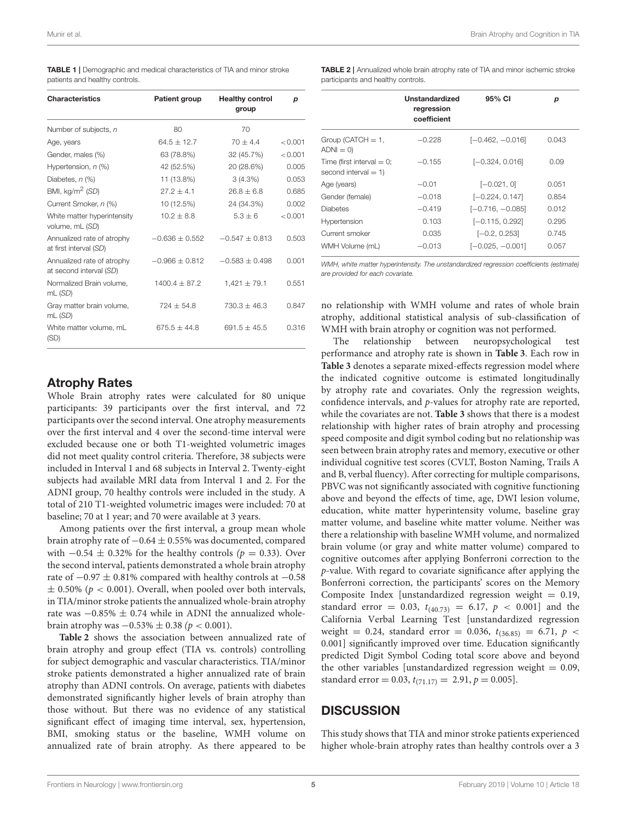<span id="page-4-0"></span>

| <b>TABLE 1</b>   Demographic and medical characteristics of TIA and minor stroke |  |  |
|----------------------------------------------------------------------------------|--|--|
| patients and healthy controls.                                                   |  |  |

| <b>Characteristics</b>                                | <b>Patient group</b> | <b>Healthy control</b><br>group | р       |
|-------------------------------------------------------|----------------------|---------------------------------|---------|
| Number of subjects, n                                 | 80                   | 70                              |         |
| Age, years                                            | $64.5 \pm 12.7$      | $70 \pm 4.4$                    | < 0.001 |
| Gender, males (%)                                     | 63 (78.8%)           | 32 (45.7%)                      | < 0.001 |
| Hypertension, n (%)                                   | 42 (52.5%)           | 20 (28.6%)                      | 0.005   |
| Diabetes, $n$ (%)                                     | 11 (13.8%)           | 3(4.3%)                         | 0.053   |
| BMI, kg/m <sup>2</sup> (SD)                           | $27.2 + 4.1$         | $26.8 + 6.8$                    | 0.685   |
| Current Smoker, n (%)                                 | 10 (12.5%)           | 24 (34.3%)                      | 0.002   |
| White matter hyperintensity<br>volume, mL (SD)        | $10.2 + 8.8$         | $5.3 + 6$                       | < 0.001 |
| Annualized rate of atrophy<br>at first interval (SD)  | $-0.636 \pm 0.552$   | $-0.547 \pm 0.813$              | 0.503   |
| Annualized rate of atrophy<br>at second interval (SD) | $-0.966 \pm 0.812$   | $-0.583 \pm 0.498$              | 0.001   |
| Normalized Brain volume,<br>mL (SD)                   | $1400.4 \pm 87.2$    | $1,421 \pm 79.1$                | 0.551   |
| Gray matter brain volume,<br>mL (SD)                  | $724 + 54.8$         | $730.3 + 46.3$                  | 0.847   |
| White matter volume, mL<br>(SD)                       | $675.5 + 44.8$       | $691.5 + 45.5$                  | 0.316   |

#### Atrophy Rates

Whole Brain atrophy rates were calculated for 80 unique participants: 39 participants over the first interval, and 72 participants over the second interval. One atrophy measurements over the first interval and 4 over the second-time interval were excluded because one or both T1-weighted volumetric images did not meet quality control criteria. Therefore, 38 subjects were included in Interval 1 and 68 subjects in Interval 2. Twenty-eight subjects had available MRI data from Interval 1 and 2. For the ADNI group, 70 healthy controls were included in the study. A total of 210 T1-weighted volumetric images were included: 70 at baseline; 70 at 1 year; and 70 were available at 3 years.

Among patients over the first interval, a group mean whole brain atrophy rate of −0.64 ± 0.55% was documented, compared with  $-0.54 \pm 0.32\%$  for the healthy controls ( $p = 0.33$ ). Over the second interval, patients demonstrated a whole brain atrophy rate of  $-0.97 \pm 0.81\%$  compared with healthy controls at  $-0.58$  $\pm$  0.50% ( $p < 0.001$ ). Overall, when pooled over both intervals, in TIA/minor stroke patients the annualized whole-brain atrophy rate was  $-0.85\% \pm 0.74$  while in ADNI the annualized wholebrain atrophy was  $-0.53\% \pm 0.38$  ( $p < 0.001$ ).

**[Table 2](#page-4-1)** shows the association between annualized rate of brain atrophy and group effect (TIA vs. controls) controlling for subject demographic and vascular characteristics. TIA/minor stroke patients demonstrated a higher annualized rate of brain atrophy than ADNI controls. On average, patients with diabetes demonstrated significantly higher levels of brain atrophy than those without. But there was no evidence of any statistical significant effect of imaging time interval, sex, hypertension, BMI, smoking status or the baseline, WMH volume on annualized rate of brain atrophy. As there appeared to be

<span id="page-4-1"></span>TABLE 2 | Annualized whole brain atrophy rate of TIA and minor ischemic stroke participants and healthy controls.

|                                                         | <b>Unstandardized</b>     | 95% CI             | р     |  |
|---------------------------------------------------------|---------------------------|--------------------|-------|--|
|                                                         | regression<br>coefficient |                    |       |  |
| Group (CATCH $= 1$ ,<br>$ADNI = 0$                      | $-0.228$                  | $[-0.462, -0.016]$ | 0.043 |  |
| Time (first interval $= 0$ ;<br>second interval $= 1$ ) | $-0.155$                  | $[-0.324, 0.016]$  | 0.09  |  |
| Age (years)                                             | $-0.01$                   | $[-0.021, 0]$      | 0.051 |  |
| Gender (female)                                         | $-0.018$                  | $[-0.224, 0.147]$  | 0.854 |  |
| <b>Diabetes</b>                                         | $-0.419$                  | $[-0.716, -0.085]$ | 0.012 |  |
| Hypertension                                            | 0.103                     | $[-0.115, 0.292]$  | 0.295 |  |
| Current smoker                                          | 0.035                     | $[-0.2, 0.253]$    | 0.745 |  |
| WMH Volume (mL)                                         | $-0.013$                  | $[-0.025, -0.001]$ | 0.057 |  |

WMH, white matter hyperintensity. The unstandardized regression coefficients (estimate) are provided for each covariate.

no relationship with WMH volume and rates of whole brain atrophy, additional statistical analysis of sub-classification of WMH with brain atrophy or cognition was not performed.

The relationship between neuropsychological test performance and atrophy rate is shown in **[Table 3](#page-5-0)**. Each row in **[Table 3](#page-5-0)** denotes a separate mixed-effects regression model where the indicated cognitive outcome is estimated longitudinally by atrophy rate and covariates. Only the regression weights, confidence intervals, and p-values for atrophy rate are reported, while the covariates are not. **[Table 3](#page-5-0)** shows that there is a modest relationship with higher rates of brain atrophy and processing speed composite and digit symbol coding but no relationship was seen between brain atrophy rates and memory, executive or other individual cognitive test scores (CVLT, Boston Naming, Trails A and B, verbal fluency). After correcting for multiple comparisons, PBVC was not significantly associated with cognitive functioning above and beyond the effects of time, age, DWI lesion volume, education, white matter hyperintensity volume, baseline gray matter volume, and baseline white matter volume. Neither was there a relationship with baseline WMH volume, and normalized brain volume (or gray and white matter volume) compared to cognitive outcomes after applying Bonferroni correction to the p-value. With regard to covariate significance after applying the Bonferroni correction, the participants' scores on the Memory Composite Index [unstandardized regression weight  $= 0.19$ , standard error = 0.03,  $t_{(40.73)} = 6.17$ ,  $p < 0.001$ ] and the California Verbal Learning Test [unstandardized regression weight = 0.24, standard error = 0.036,  $t_{(36.85)} = 6.71$ ,  $p <$ 0.001] significantly improved over time. Education significantly predicted Digit Symbol Coding total score above and beyond the other variables [unstandardized regression weight  $= 0.09$ , standard error = 0.03,  $t_{(71.17)} = 2.91$ ,  $p = 0.005$ ].

#### **DISCUSSION**

This study shows that TIA and minor stroke patients experienced higher whole-brain atrophy rates than healthy controls over a 3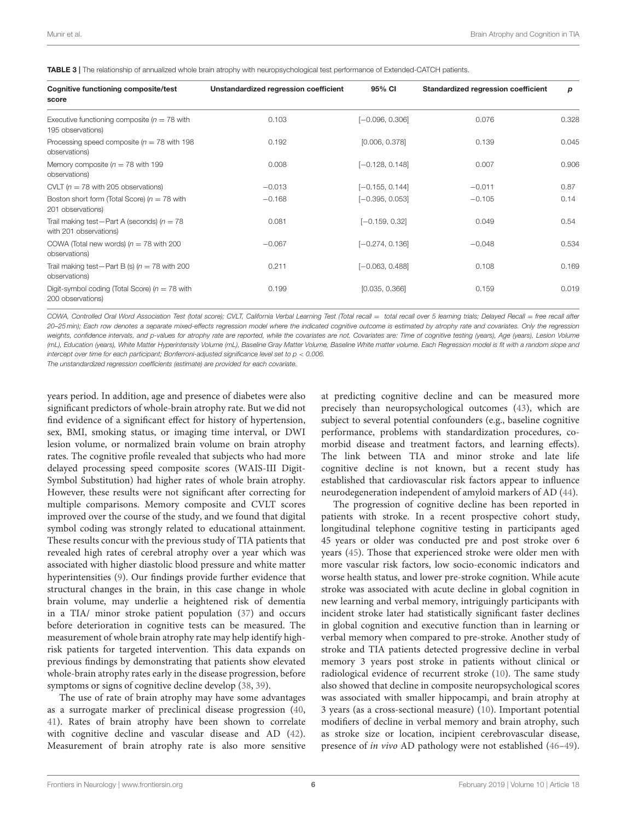<span id="page-5-0"></span>TABLE 3 | The relationship of annualized whole brain atrophy with neuropsychological test performance of Extended-CATCH patients.

| Cognitive functioning composite/test<br>score                           | Unstandardized regression coefficient | 95% CI            | Standardized regression coefficient | $\boldsymbol{p}$ |
|-------------------------------------------------------------------------|---------------------------------------|-------------------|-------------------------------------|------------------|
| Executive functioning composite ( $n = 78$ with<br>195 observations)    | 0.103                                 | $[-0.096, 0.306]$ | 0.076                               | 0.328            |
| Processing speed composite ( $n = 78$ with 198<br>observations)         | 0.192                                 | [0.006, 0.378]    | 0.139                               | 0.045            |
| Memory composite ( $n = 78$ with 199<br>observations)                   | 0.008                                 | $[-0.128, 0.148]$ | 0.007                               | 0.906            |
| CVLT ( $n = 78$ with 205 observations)                                  | $-0.013$                              | $[-0.155, 0.144]$ | $-0.011$                            | 0.87             |
| Boston short form (Total Score) ( $n = 78$ with<br>201 observations)    | $-0.168$                              | $[-0.395, 0.053]$ | $-0.105$                            | 0.14             |
| Trail making test-Part A (seconds) ( $n = 78$<br>with 201 observations) | 0.081                                 | $[-0.159, 0.32]$  | 0.049                               | 0.54             |
| COWA (Total new words) $(n = 78$ with 200<br>observations)              | $-0.067$                              | $[-0.274, 0.136]$ | $-0.048$                            | 0.534            |
| Trail making test - Part B (s) ( $n = 78$ with 200<br>observations)     | 0.211                                 | $[-0.063, 0.488]$ | 0.108                               | 0.169            |
| Digit-symbol coding (Total Score) $(n = 78$ with<br>200 observations)   | 0.199                                 | [0.035, 0.366]    | 0.159                               | 0.019            |

COWA, Controlled Oral Word Association Test (total score); CVLT, California Verbal Learning Test (Total recall = total recall over 5 learning trials; Delayed Recall = free recall after 20–25 min); Each row denotes a separate mixed-effects regression model where the indicated cognitive outcome is estimated by atrophy rate and covariates. Only the regression weights, confidence intervals, and p-values for atrophy rate are reported, while the covariates are not. Covariates are: Time of cognitive testing (years), Age (years), Lesion Volume (mL), Education (years), White Matter Hyperintensity Volume (mL), Baseline Gray Matter Volume, Baseline White matter volume. Each Regression model is fit with a random slope and intercept over time for each participant; Bonferroni-adjusted significance level set to  $p < 0.006$ .

The unstandardized regression coefficients (estimate) are provided for each covariate.

years period. In addition, age and presence of diabetes were also significant predictors of whole-brain atrophy rate. But we did not find evidence of a significant effect for history of hypertension, sex, BMI, smoking status, or imaging time interval, or DWI lesion volume, or normalized brain volume on brain atrophy rates. The cognitive profile revealed that subjects who had more delayed processing speed composite scores (WAIS-III Digit-Symbol Substitution) had higher rates of whole brain atrophy. However, these results were not significant after correcting for multiple comparisons. Memory composite and CVLT scores improved over the course of the study, and we found that digital symbol coding was strongly related to educational attainment. These results concur with the previous study of TIA patients that revealed high rates of cerebral atrophy over a year which was associated with higher diastolic blood pressure and white matter hyperintensities [\(9\)](#page-7-7). Our findings provide further evidence that structural changes in the brain, in this case change in whole brain volume, may underlie a heightened risk of dementia in a TIA/ minor stroke patient population [\(37\)](#page-8-12) and occurs before deterioration in cognitive tests can be measured. The measurement of whole brain atrophy rate may help identify highrisk patients for targeted intervention. This data expands on previous findings by demonstrating that patients show elevated whole-brain atrophy rates early in the disease progression, before symptoms or signs of cognitive decline develop [\(38,](#page-8-13) [39\)](#page-8-14).

The use of rate of brain atrophy may have some advantages as a surrogate marker of preclinical disease progression [\(40,](#page-8-15) [41\)](#page-8-16). Rates of brain atrophy have been shown to correlate with cognitive decline and vascular disease and AD [\(42\)](#page-8-17). Measurement of brain atrophy rate is also more sensitive at predicting cognitive decline and can be measured more precisely than neuropsychological outcomes [\(43\)](#page-8-18), which are subject to several potential confounders (e.g., baseline cognitive performance, problems with standardization procedures, comorbid disease and treatment factors, and learning effects). The link between TIA and minor stroke and late life cognitive decline is not known, but a recent study has established that cardiovascular risk factors appear to influence neurodegeneration independent of amyloid markers of AD [\(44\)](#page-8-19).

The progression of cognitive decline has been reported in patients with stroke. In a recent prospective cohort study, longitudinal telephone cognitive testing in participants aged 45 years or older was conducted pre and post stroke over 6 years [\(45\)](#page-8-20). Those that experienced stroke were older men with more vascular risk factors, low socio-economic indicators and worse health status, and lower pre-stroke cognition. While acute stroke was associated with acute decline in global cognition in new learning and verbal memory, intriguingly participants with incident stroke later had statistically significant faster declines in global cognition and executive function than in learning or verbal memory when compared to pre-stroke. Another study of stroke and TIA patients detected progressive decline in verbal memory 3 years post stroke in patients without clinical or radiological evidence of recurrent stroke [\(10\)](#page-7-22). The same study also showed that decline in composite neuropsychological scores was associated with smaller hippocampi, and brain atrophy at 3 years (as a cross-sectional measure) [\(10\)](#page-7-22). Important potential modifiers of decline in verbal memory and brain atrophy, such as stroke size or location, incipient cerebrovascular disease, presence of in vivo AD pathology were not established [\(46–](#page-8-21)[49\)](#page-8-22).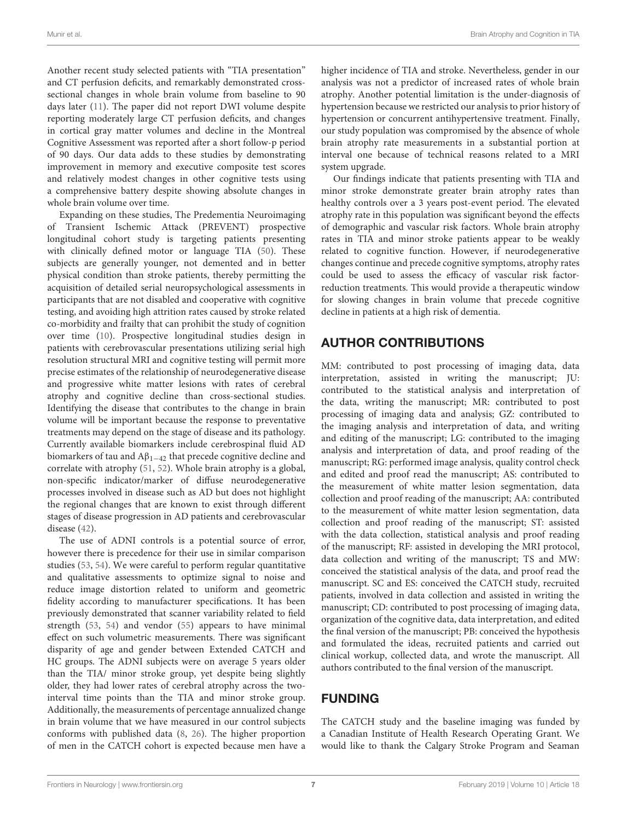Another recent study selected patients with "TIA presentation" and CT perfusion deficits, and remarkably demonstrated crosssectional changes in whole brain volume from baseline to 90 days later [\(11\)](#page-7-8). The paper did not report DWI volume despite reporting moderately large CT perfusion deficits, and changes in cortical gray matter volumes and decline in the Montreal Cognitive Assessment was reported after a short follow-p period of 90 days. Our data adds to these studies by demonstrating improvement in memory and executive composite test scores and relatively modest changes in other cognitive tests using a comprehensive battery despite showing absolute changes in whole brain volume over time.

Expanding on these studies, The Predementia Neuroimaging of Transient Ischemic Attack (PREVENT) prospective longitudinal cohort study is targeting patients presenting with clinically defined motor or language TIA [\(50\)](#page-8-23). These subjects are generally younger, not demented and in better physical condition than stroke patients, thereby permitting the acquisition of detailed serial neuropsychological assessments in participants that are not disabled and cooperative with cognitive testing, and avoiding high attrition rates caused by stroke related co-morbidity and frailty that can prohibit the study of cognition over time [\(10\)](#page-7-22). Prospective longitudinal studies design in patients with cerebrovascular presentations utilizing serial high resolution structural MRI and cognitive testing will permit more precise estimates of the relationship of neurodegenerative disease and progressive white matter lesions with rates of cerebral atrophy and cognitive decline than cross-sectional studies. Identifying the disease that contributes to the change in brain volume will be important because the response to preventative treatments may depend on the stage of disease and its pathology. Currently available biomarkers include cerebrospinal fluid AD biomarkers of tau and  $A\beta_{1-42}$  that precede cognitive decline and correlate with atrophy [\(51,](#page-8-24) [52\)](#page-8-25). Whole brain atrophy is a global, non-specific indicator/marker of diffuse neurodegenerative processes involved in disease such as AD but does not highlight the regional changes that are known to exist through different stages of disease progression in AD patients and cerebrovascular disease [\(42\)](#page-8-17).

The use of ADNI controls is a potential source of error, however there is precedence for their use in similar comparison studies [\(53,](#page-8-26) [54\)](#page-8-27). We were careful to perform regular quantitative and qualitative assessments to optimize signal to noise and reduce image distortion related to uniform and geometric fidelity according to manufacturer specifications. It has been previously demonstrated that scanner variability related to field strength [\(53,](#page-8-26) [54\)](#page-8-27) and vendor [\(55\)](#page-8-28) appears to have minimal effect on such volumetric measurements. There was significant disparity of age and gender between Extended CATCH and HC groups. The ADNI subjects were on average 5 years older than the TIA/ minor stroke group, yet despite being slightly older, they had lower rates of cerebral atrophy across the twointerval time points than the TIA and minor stroke group. Additionally, the measurements of percentage annualized change in brain volume that we have measured in our control subjects conforms with published data [\(8,](#page-7-6) [26\)](#page-8-1). The higher proportion of men in the CATCH cohort is expected because men have a higher incidence of TIA and stroke. Nevertheless, gender in our analysis was not a predictor of increased rates of whole brain atrophy. Another potential limitation is the under-diagnosis of hypertension because we restricted our analysis to prior history of hypertension or concurrent antihypertensive treatment. Finally, our study population was compromised by the absence of whole brain atrophy rate measurements in a substantial portion at interval one because of technical reasons related to a MRI system upgrade.

Our findings indicate that patients presenting with TIA and minor stroke demonstrate greater brain atrophy rates than healthy controls over a 3 years post-event period. The elevated atrophy rate in this population was significant beyond the effects of demographic and vascular risk factors. Whole brain atrophy rates in TIA and minor stroke patients appear to be weakly related to cognitive function. However, if neurodegenerative changes continue and precede cognitive symptoms, atrophy rates could be used to assess the efficacy of vascular risk factorreduction treatments. This would provide a therapeutic window for slowing changes in brain volume that precede cognitive decline in patients at a high risk of dementia.

# AUTHOR CONTRIBUTIONS

MM: contributed to post processing of imaging data, data interpretation, assisted in writing the manuscript; JU: contributed to the statistical analysis and interpretation of the data, writing the manuscript; MR: contributed to post processing of imaging data and analysis; GZ: contributed to the imaging analysis and interpretation of data, and writing and editing of the manuscript; LG: contributed to the imaging analysis and interpretation of data, and proof reading of the manuscript; RG: performed image analysis, quality control check and edited and proof read the manuscript; AS: contributed to the measurement of white matter lesion segmentation, data collection and proof reading of the manuscript; AA: contributed to the measurement of white matter lesion segmentation, data collection and proof reading of the manuscript; ST: assisted with the data collection, statistical analysis and proof reading of the manuscript; RF: assisted in developing the MRI protocol, data collection and writing of the manuscript; TS and MW: conceived the statistical analysis of the data, and proof read the manuscript. SC and ES: conceived the CATCH study, recruited patients, involved in data collection and assisted in writing the manuscript; CD: contributed to post processing of imaging data, organization of the cognitive data, data interpretation, and edited the final version of the manuscript; PB: conceived the hypothesis and formulated the ideas, recruited patients and carried out clinical workup, collected data, and wrote the manuscript. All authors contributed to the final version of the manuscript.

# FUNDING

The CATCH study and the baseline imaging was funded by a Canadian Institute of Health Research Operating Grant. We would like to thank the Calgary Stroke Program and Seaman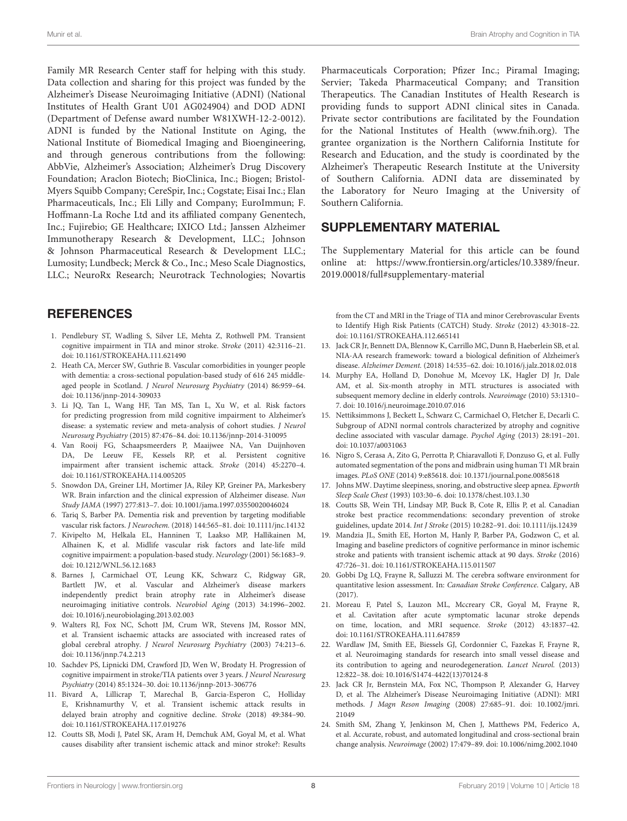Family MR Research Center staff for helping with this study. Data collection and sharing for this project was funded by the Alzheimer's Disease Neuroimaging Initiative (ADNI) (National Institutes of Health Grant U01 AG024904) and DOD ADNI (Department of Defense award number W81XWH-12-2-0012). ADNI is funded by the National Institute on Aging, the National Institute of Biomedical Imaging and Bioengineering, and through generous contributions from the following: AbbVie, Alzheimer's Association; Alzheimer's Drug Discovery Foundation; Araclon Biotech; BioClinica, Inc.; Biogen; Bristol-Myers Squibb Company; CereSpir, Inc.; Cogstate; Eisai Inc.; Elan Pharmaceuticals, Inc.; Eli Lilly and Company; EuroImmun; F. Hoffmann-La Roche Ltd and its affiliated company Genentech, Inc.; Fujirebio; GE Healthcare; IXICO Ltd.; Janssen Alzheimer Immunotherapy Research & Development, LLC.; Johnson & Johnson Pharmaceutical Research & Development LLC.; Lumosity; Lundbeck; Merck & Co., Inc.; Meso Scale Diagnostics, LLC.; NeuroRx Research; Neurotrack Technologies; Novartis

#### **REFERENCES**

- <span id="page-7-0"></span>1. Pendlebury ST, Wadling S, Silver LE, Mehta Z, Rothwell PM. Transient cognitive impairment in TIA and minor stroke. Stroke (2011) 42:3116–21. doi: [10.1161/STROKEAHA.111.621490](https://doi.org/10.1161/STROKEAHA.111.621490)
- 2. Heath CA, Mercer SW, Guthrie B. Vascular comorbidities in younger people with dementia: a cross-sectional population-based study of 616 245 middleaged people in Scotland. J Neurol Neurosurg Psychiatry (2014) 86:959-64. doi: [10.1136/jnnp-2014-309033](https://doi.org/10.1136/jnnp-2014-309033)
- <span id="page-7-1"></span>3. Li JQ, Tan L, Wang HF, Tan MS, Tan L, Xu W, et al. Risk factors for predicting progression from mild cognitive impairment to Alzheimer's disease: a systematic review and meta-analysis of cohort studies. J Neurol Neurosurg Psychiatry (2015) 87:476–84. doi: [10.1136/jnnp-2014-310095](https://doi.org/10.1136/jnnp-2014-310095)
- <span id="page-7-2"></span>4. Van Rooij FG, Schaapsmeerders P, Maaijwee NA, Van Duijnhoven DA, De Leeuw FE, Kessels RP, et al. Persistent cognitive impairment after transient ischemic attack. Stroke (2014) 45:2270–4. doi: [10.1161/STROKEAHA.114.005205](https://doi.org/10.1161/STROKEAHA.114.005205)
- <span id="page-7-3"></span>5. Snowdon DA, Greiner LH, Mortimer JA, Riley KP, Greiner PA, Markesbery WR. Brain infarction and the clinical expression of Alzheimer disease. Nun Study JAMA (1997) 277:813–7. doi: [10.1001/jama.1997.03550020046024](https://doi.org/10.1001/jama.1997.03550020046024)
- <span id="page-7-4"></span>6. Tariq S, Barber PA. Dementia risk and prevention by targeting modifiable vascular risk factors. J Neurochem. (2018) 144:565–81. doi: [10.1111/jnc.14132](https://doi.org/10.1111/jnc.14132)
- <span id="page-7-5"></span>7. Kivipelto M, Helkala EL, Hanninen T, Laakso MP, Hallikainen M, Alhainen K, et al. Midlife vascular risk factors and late-life mild cognitive impairment: a population-based study. Neurology (2001) 56:1683–9. doi: [10.1212/WNL.56.12.1683](https://doi.org/10.1212/WNL.56.12.1683)
- <span id="page-7-6"></span>8. Barnes J, Carmichael OT, Leung KK, Schwarz C, Ridgway GR, Bartlett JW, et al. Vascular and Alzheimer's disease markers independently predict brain atrophy rate in Alzheimer's disease neuroimaging initiative controls. Neurobiol Aging (2013) 34:1996–2002. doi: [10.1016/j.neurobiolaging.2013.02.003](https://doi.org/10.1016/j.neurobiolaging.2013.02.003)
- <span id="page-7-7"></span>9. Walters RJ, Fox NC, Schott JM, Crum WR, Stevens JM, Rossor MN, et al. Transient ischaemic attacks are associated with increased rates of global cerebral atrophy. J Neurol Neurosurg Psychiatry (2003) 74:213–6. doi: [10.1136/jnnp.74.2.213](https://doi.org/10.1136/jnnp.74.2.213)
- <span id="page-7-22"></span>10. Sachdev PS, Lipnicki DM, Crawford JD, Wen W, Brodaty H. Progression of cognitive impairment in stroke/TIA patients over 3 years. J Neurol Neurosurg Psychiatry (2014) 85:1324–30. doi: [10.1136/jnnp-2013-306776](https://doi.org/10.1136/jnnp-2013-306776)
- <span id="page-7-8"></span>11. Bivard A, Lillicrap T, Marechal B, Garcia-Esperon C, Holliday E, Krishnamurthy V, et al. Transient ischemic attack results in delayed brain atrophy and cognitive decline. Stroke (2018) 49:384–90. doi: [10.1161/STROKEAHA.117.019276](https://doi.org/10.1161/STROKEAHA.117.019276)
- <span id="page-7-9"></span>12. Coutts SB, Modi J, Patel SK, Aram H, Demchuk AM, Goyal M, et al. What causes disability after transient ischemic attack and minor stroke?: Results

Pharmaceuticals Corporation; Pfizer Inc.; Piramal Imaging; Servier; Takeda Pharmaceutical Company; and Transition Therapeutics. The Canadian Institutes of Health Research is providing funds to support ADNI clinical sites in Canada. Private sector contributions are facilitated by the Foundation for the National Institutes of Health [\(www.fnih.org\)](www.fnih.org). The grantee organization is the Northern California Institute for Research and Education, and the study is coordinated by the Alzheimer's Therapeutic Research Institute at the University of Southern California. ADNI data are disseminated by the Laboratory for Neuro Imaging at the University of Southern California.

#### SUPPLEMENTARY MATERIAL

<span id="page-7-21"></span>The Supplementary Material for this article can be found [online at: https://www.frontiersin.org/articles/10.3389/fneur.](https://www.frontiersin.org/articles/10.3389/fneur.2019.00018/full#supplementary-material) 2019.00018/full#supplementary-material

from the CT and MRI in the Triage of TIA and minor Cerebrovascular Events to Identify High Risk Patients (CATCH) Study. Stroke (2012) 43:3018–22. doi: [10.1161/STROKEAHA.112.665141](https://doi.org/10.1161/STROKEAHA.112.665141)

- <span id="page-7-10"></span>13. Jack CR Jr, Bennett DA, Blennow K, Carrillo MC, Dunn B, Haeberlein SB, et al. NIA-AA research framework: toward a biological definition of Alzheimer's disease. Alzheimer Dement. (2018) 14:535–62. doi: [10.1016/j.jalz.2018.02.018](https://doi.org/10.1016/j.jalz.2018.02.018)
- <span id="page-7-11"></span>14. Murphy EA, Holland D, Donohue M, Mcevoy LK, Hagler DJ Jr, Dale AM, et al. Six-month atrophy in MTL structures is associated with subsequent memory decline in elderly controls. Neuroimage (2010) 53:1310– 7. doi: [10.1016/j.neuroimage.2010.07.016](https://doi.org/10.1016/j.neuroimage.2010.07.016)
- 15. Nettiksimmons J, Beckett L, Schwarz C, Carmichael O, Fletcher E, Decarli C. Subgroup of ADNI normal controls characterized by atrophy and cognitive decline associated with vascular damage. Psychol Aging (2013) 28:191–201. doi: [10.1037/a0031063](https://doi.org/10.1037/a0031063)
- <span id="page-7-12"></span>16. Nigro S, Cerasa A, Zito G, Perrotta P, Chiaravalloti F, Donzuso G, et al. Fully automated segmentation of the pons and midbrain using human T1 MR brain images. PLoS ONE (2014) 9:e85618. doi: [10.1371/journal.pone.0085618](https://doi.org/10.1371/journal.pone.0085618)
- <span id="page-7-13"></span>17. Johns MW. Daytime sleepiness, snoring, and obstructive sleep apnea. Epworth Sleep Scale Chest (1993) 103:30–6. doi: [10.1378/chest.103.1.30](https://doi.org/10.1378/chest.103.1.30)
- <span id="page-7-14"></span>18. Coutts SB, Wein TH, Lindsay MP, Buck B, Cote R, Ellis P, et al. Canadian stroke best practice recommendations: secondary prevention of stroke guidelines, update 2014. Int J Stroke (2015) 10:282–91. doi: [10.1111/ijs.12439](https://doi.org/10.1111/ijs.12439)
- <span id="page-7-15"></span>19. Mandzia JL, Smith EE, Horton M, Hanly P, Barber PA, Godzwon C, et al. Imaging and baseline predictors of cognitive performance in minor ischemic stroke and patients with transient ischemic attack at 90 days. Stroke (2016) 47:726–31. doi: [10.1161/STROKEAHA.115.011507](https://doi.org/10.1161/STROKEAHA.115.011507)
- <span id="page-7-16"></span>20. Gobbi Dg LQ, Frayne R, Salluzzi M. The cerebra software environment for quantitative lesion assessment. In: Canadian Stroke Conference. Calgary, AB (2017).
- <span id="page-7-17"></span>21. Moreau F, Patel S, Lauzon ML, Mccreary CR, Goyal M, Frayne R, et al. Cavitation after acute symptomatic lacunar stroke depends on time, location, and MRI sequence. Stroke (2012) 43:1837–42. doi: [10.1161/STROKEAHA.111.647859](https://doi.org/10.1161/STROKEAHA.111.647859)
- <span id="page-7-18"></span>22. Wardlaw JM, Smith EE, Biessels GJ, Cordonnier C, Fazekas F, Frayne R, et al. Neuroimaging standards for research into small vessel disease and its contribution to ageing and neurodegeneration. Lancet Neurol. (2013) 12:822–38. doi: [10.1016/S1474-4422\(13\)70124-8](https://doi.org/10.1016/S1474-4422(13)70124-8)
- <span id="page-7-19"></span>23. Jack CR Jr, Bernstein MA, Fox NC, Thompson P, Alexander G, Harvey D, et al. The Alzheimer's Disease Neuroimaging Initiative (ADNI): MRI methods. J Magn Reson Imaging [\(2008\) 27:685–91. doi: 10.1002/jmri.](https://doi.org/10.1002/jmri.21049) 21049
- <span id="page-7-20"></span>24. Smith SM, Zhang Y, Jenkinson M, Chen J, Matthews PM, Federico A, et al. Accurate, robust, and automated longitudinal and cross-sectional brain change analysis. Neuroimage (2002) 17:479–89. doi: [10.1006/nimg.2002.1040](https://doi.org/10.1006/nimg.2002.1040)